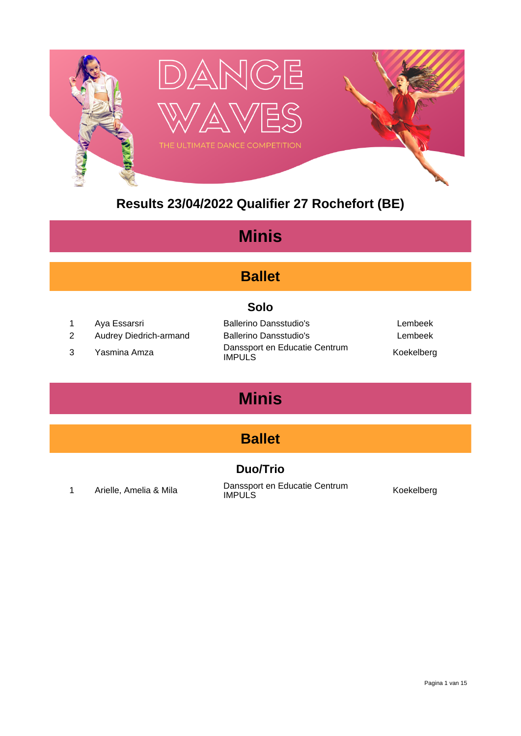

#### **Results 23/04/2022 Qualifier 27 Rochefort (BE)**

#### **Minis**

#### **Ballet**

#### **Solo**

- 
- 
- 

1 Aya Essarsri Ballerino Dansstudio's Lembeek 2 Audrey Diedrich-armand Ballerino Dansstudio's Changes Audrey Dembeek <sup>3</sup> Yasmina Amza Danssport en Educatie Centrum IMPULS Koekelberg

### **Minis**

#### **Ballet**

#### **Duo/Trio**

1 Arielle, Amelia & Mila **Danssport en Educatie Centrum**<br>
IMPULS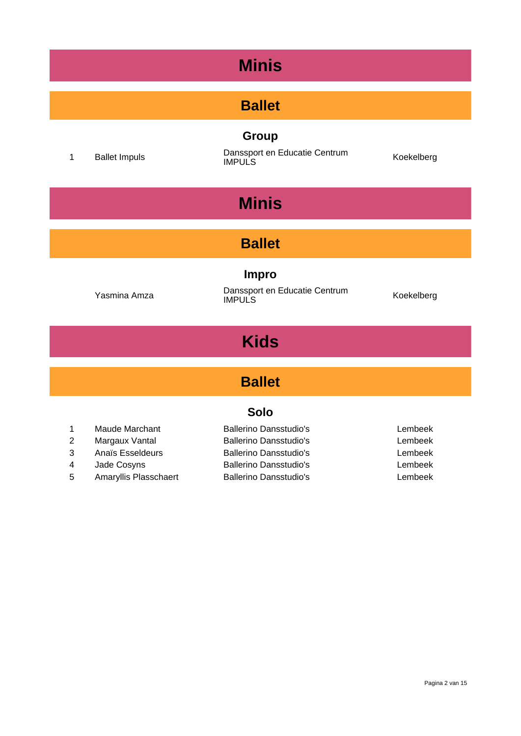### **Minis**

#### **Ballet**

#### **Group**

1 Ballet Impuls **1 Danssport en Educatie Centrum**<br> **IMPULS** IMPULS

## **Minis**

#### **Ballet**

#### **Impro**

Yasmina Amza Danssport en Educatie Centrum IMPULS Koekelberg

### **Kids**

#### **Ballet**

#### **Solo**

| $\mathbf{1}$ | Maude Marchant        | <b>Ballerino Dansstudio's</b> | Lembeek |
|--------------|-----------------------|-------------------------------|---------|
| 2            | Margaux Vantal        | <b>Ballerino Dansstudio's</b> | Lembeek |
| 3            | Anaïs Esseldeurs      | <b>Ballerino Dansstudio's</b> | Lembeek |
| 4            | Jade Cosyns           | <b>Ballerino Dansstudio's</b> | Lembeek |
| 5            | Amaryllis Plasschaert | <b>Ballerino Dansstudio's</b> | Lembeek |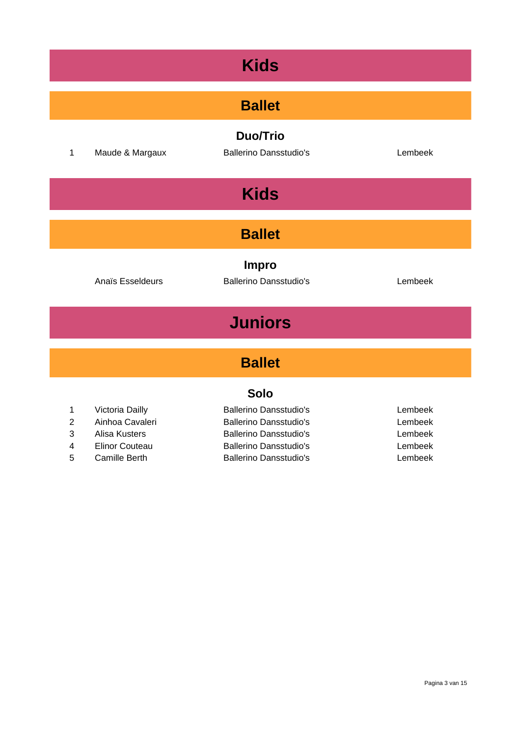| <b>Kids</b>    |                                                            |                                                                                                 |                               |  |
|----------------|------------------------------------------------------------|-------------------------------------------------------------------------------------------------|-------------------------------|--|
| <b>Ballet</b>  |                                                            |                                                                                                 |                               |  |
| 1              | Maude & Margaux                                            | <b>Duo/Trio</b><br><b>Ballerino Dansstudio's</b>                                                | Lembeek                       |  |
| <b>Kids</b>    |                                                            |                                                                                                 |                               |  |
| <b>Ballet</b>  |                                                            |                                                                                                 |                               |  |
|                | Anaïs Esseldeurs                                           | <b>Impro</b><br><b>Ballerino Dansstudio's</b>                                                   | Lembeek                       |  |
| <b>Juniors</b> |                                                            |                                                                                                 |                               |  |
| <b>Ballet</b>  |                                                            |                                                                                                 |                               |  |
| <b>Solo</b>    |                                                            |                                                                                                 |                               |  |
| 1<br>2<br>3    | Victoria Dailly<br>Ainhoa Cavaleri<br><b>Alisa Kusters</b> | <b>Ballerino Dansstudio's</b><br><b>Ballerino Dansstudio's</b><br><b>Ballerino Dansstudio's</b> | Lembeek<br>Lembeek<br>Lembeek |  |

- 
- 

4 Elinor Couteau Ballerino Dansstudio's Lembeek 5 Camille Berth **Ballerino Dansstudio's** Lembeek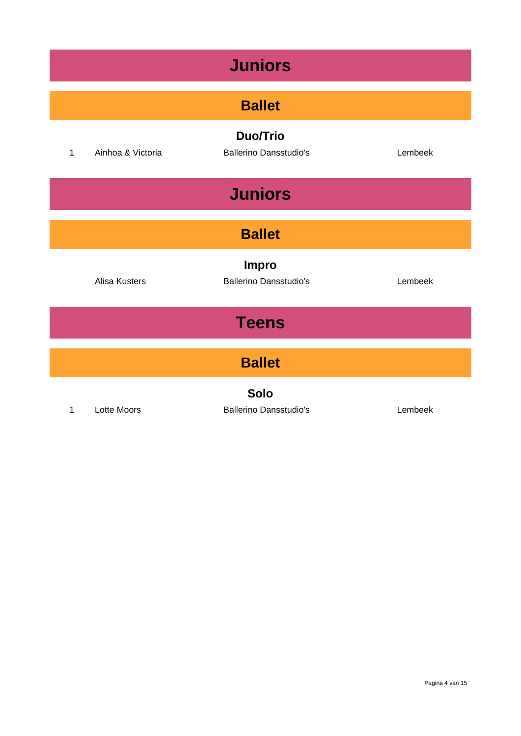| <b>Juniors</b> |                      |                                                  |         |  |
|----------------|----------------------|--------------------------------------------------|---------|--|
| <b>Ballet</b>  |                      |                                                  |         |  |
| $\mathbf{1}$   | Ainhoa & Victoria    | <b>Duo/Trio</b><br><b>Ballerino Dansstudio's</b> | Lembeek |  |
|                | <b>Juniors</b>       |                                                  |         |  |
| <b>Ballet</b>  |                      |                                                  |         |  |
|                | <b>Alisa Kusters</b> | <b>Impro</b><br><b>Ballerino Dansstudio's</b>    | Lembeek |  |
| <b>Teens</b>   |                      |                                                  |         |  |
| <b>Ballet</b>  |                      |                                                  |         |  |
| $\mathbf{1}$   | <b>Lotte Moors</b>   | <b>Solo</b><br><b>Ballerino Dansstudio's</b>     | Lembeek |  |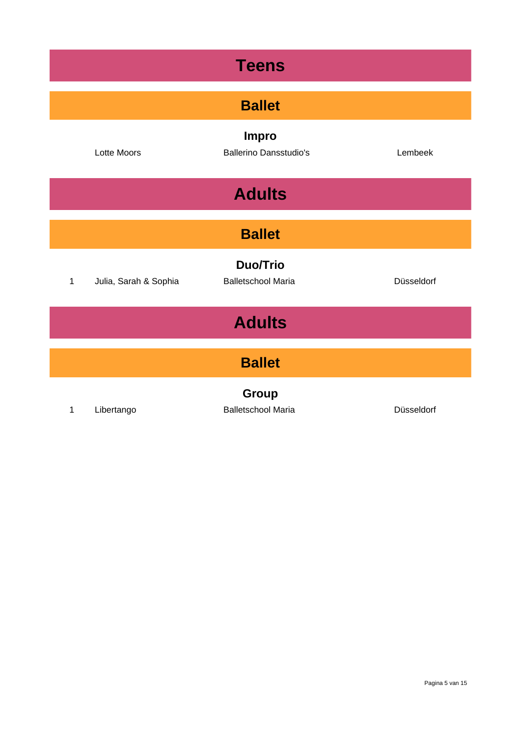| <b>Teens</b>  |                       |                                               |            |  |
|---------------|-----------------------|-----------------------------------------------|------------|--|
| <b>Ballet</b> |                       |                                               |            |  |
|               | Lotte Moors           | <b>Impro</b><br><b>Ballerino Dansstudio's</b> | Lembeek    |  |
|               | <b>Adults</b>         |                                               |            |  |
| <b>Ballet</b> |                       |                                               |            |  |
| 1             | Julia, Sarah & Sophia | <b>Duo/Trio</b><br><b>Balletschool Maria</b>  | Düsseldorf |  |
| <b>Adults</b> |                       |                                               |            |  |
| <b>Ballet</b> |                       |                                               |            |  |
| 1             | Libertango            | Group<br><b>Balletschool Maria</b>            | Düsseldorf |  |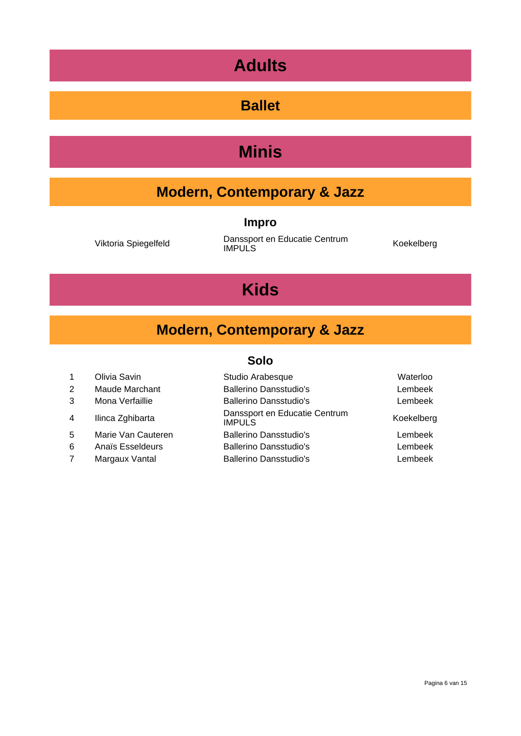### **Adults**

#### **Ballet**

### **Minis**

### **Modern, Contemporary & Jazz**

#### **Impro**

Viktoria Spiegelfeld Danssport en Educatie Centrum IMPULS Koekelberg

### **Kids**

### **Modern, Contemporary & Jazz**

- 
- 
- 
- 
- 
- 
- 

#### **Solo**

| 1  | Olivia Savin       | Studio Arabesque                               | Waterloo   |
|----|--------------------|------------------------------------------------|------------|
| 2  | Maude Marchant     | <b>Ballerino Dansstudio's</b>                  | Lembeek    |
| 3  | Mona Verfaillie    | <b>Ballerino Dansstudio's</b>                  | Lembeek    |
| 4  | Ilinca Zghibarta   | Danssport en Educatie Centrum<br><b>IMPULS</b> | Koekelberg |
| 5. | Marie Van Cauteren | <b>Ballerino Dansstudio's</b>                  | Lembeek    |
| 6  | Anaïs Esseldeurs   | <b>Ballerino Dansstudio's</b>                  | Lembeek    |
|    | Margaux Vantal     | <b>Ballerino Dansstudio's</b>                  | Lembeek    |
|    |                    |                                                |            |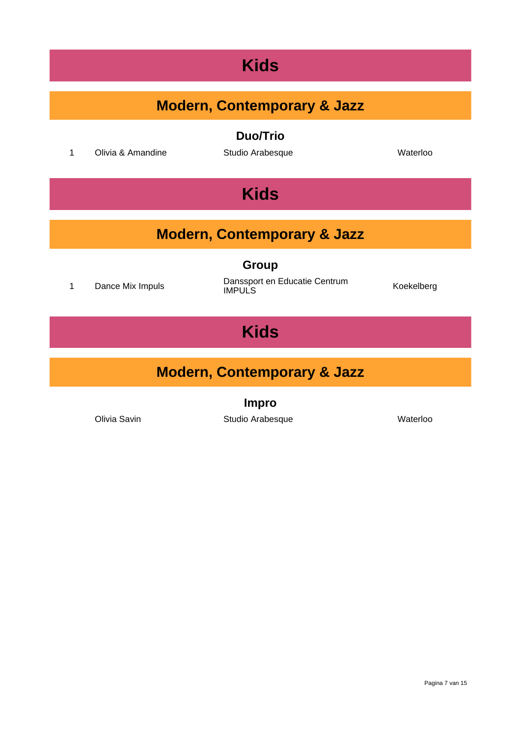#### **Kids**

| <b>Modern, Contemporary &amp; Jazz</b> |                   |                                        |            |  |
|----------------------------------------|-------------------|----------------------------------------|------------|--|
|                                        |                   |                                        |            |  |
|                                        |                   | <b>Duo/Trio</b>                        |            |  |
| 1                                      | Olivia & Amandine | Studio Arabesque                       | Waterloo   |  |
|                                        |                   |                                        |            |  |
|                                        |                   | <b>Kids</b>                            |            |  |
|                                        |                   |                                        |            |  |
|                                        |                   |                                        |            |  |
|                                        |                   | <b>Modern, Contemporary &amp; Jazz</b> |            |  |
|                                        |                   | <b>Group</b>                           |            |  |
|                                        |                   | Danssport en Educatie Centrum          |            |  |
| 1                                      | Dance Mix Impuls  | <b>IMPULS</b>                          | Koekelberg |  |
|                                        |                   |                                        |            |  |
| <b>Kids</b>                            |                   |                                        |            |  |
|                                        |                   |                                        |            |  |
|                                        |                   |                                        |            |  |
| <b>Modern, Contemporary &amp; Jazz</b> |                   |                                        |            |  |
| <b>Impro</b>                           |                   |                                        |            |  |
|                                        | Olivia Savin      | Studio Arabesque                       | Waterloo   |  |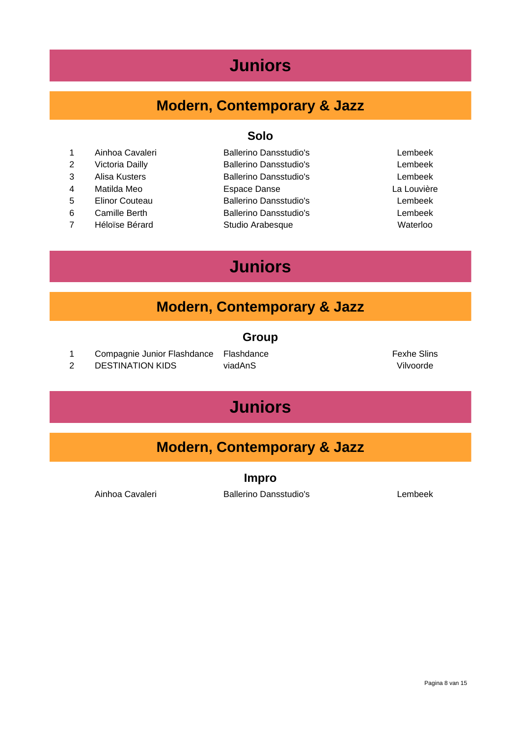#### **Juniors**

#### **Modern, Contemporary & Jazz**

- 1 Ainhoa Cavaleri Ballerino Dansstudio's Lembeek
- 
- 
- 
- 
- 
- 7 Héloïse Bérard Studio Arabesque Waterloo

#### **Solo**

 Victoria Dailly Ballerino Dansstudio's Lembeek Alisa Kusters Ballerino Dansstudio's Lembeek Matilda Meo Espace Danse La Louvière Elinor Couteau Ballerino Dansstudio's Lembeek Camille Berth Ballerino Dansstudio's Lembeek

### **Juniors**

#### **Modern, Contemporary & Jazz**

#### **Group**

- 1 Compagnie Junior Flashdance Flashdance **Flashdance Fexhe** Slins
- 2 DESTINATION KIDS viadAnS Vilvoorde

### **Juniors**

#### **Modern, Contemporary & Jazz**

**Impro**

Ainhoa Cavaleri **Ballerino Dansstudio's** Lembeek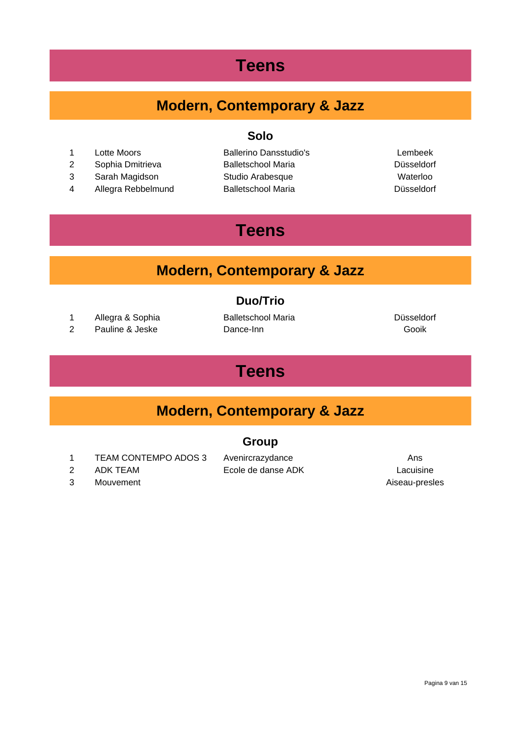#### **Teens**

#### **Modern, Contemporary & Jazz**

**Solo**

- 
- 2 Sophia Dmitrieva Balletschool Maria Düsseldorf
- 3 Sarah Magidson Studio Arabesque Waterloo
- 4 Allegra Rebbelmund Balletschool Maria Channel Busseldorf

1 Lotte Moors Ballerino Dansstudio's Lembeek

### **Teens**

#### **Modern, Contemporary & Jazz**

#### **Duo/Trio**

- 1 Allegra & Sophia Balletschool Maria Düsseldorf
- 2 Pauline & Jeske Dance-Inn Gooik

#### **Teens**

#### **Modern, Contemporary & Jazz**

#### **Group**

- 1 TEAM CONTEMPO ADOS 3 Avenircrazydance **Ans** Ans
- 
- 3 Mouvement 2008 and 2009 and 2009 and 2009 and 2009 and 2009 and 2009 and 2009 and 2009 and 2009 and 2009 and 2009 and 2009 and 2009 and 2009 and 2009 and 2009 and 2009 and 2009 and 2009 and 2009 and 2009 and 2009 and 200

2 ADK TEAM Ecole de danse ADK Lacuisine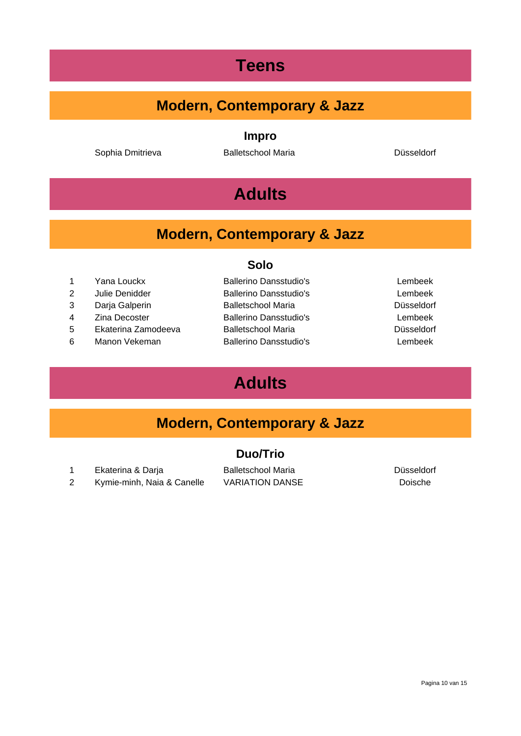#### **Teens**

#### **Modern, Contemporary & Jazz**

**Impro**

Sophia Dmitrieva **Balletschool Maria Balletschool Maria** Düsseldorf

#### **Adults**

#### **Modern, Contemporary & Jazz**

**Solo**

- 
- 2 Julie Denidder Ballerino Dansstudio's Lembeek
- 
- 
- 5 Ekaterina Zamodeeva Balletschool Maria Düsseldorf
- 6 Manon Vekeman Ballerino Dansstudio's Lembeek
- 1 Yana Louckx Ballerino Dansstudio's Lembeek 3 Darja Galperin Balletschool Maria Düsseldorf 4 Zina Decoster Ballerino Dansstudio's Lembeek
	-

#### **Adults**

#### **Modern, Contemporary & Jazz**

#### **Duo/Trio**

1 Ekaterina & Darja **Balletschool Maria** Balletschool Maria **Balletschool Maria** Büsseldorf 2 Kymie-minh, Naia & Canelle VARIATION DANSE Doische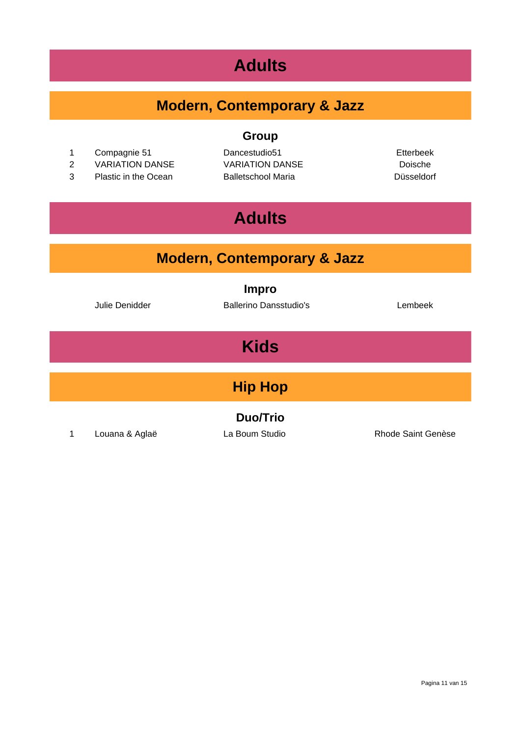#### **Adults**

#### **Modern, Contemporary & Jazz**

**Group**

- 1 Compagnie 51 Dancestudio51 Etterbeek
- 2 VARIATION DANSE VARIATION DANSE Doische
- 3 Plastic in the Ocean Balletschool Maria Düsseldorf

### **Adults**

#### **Modern, Contemporary & Jazz**

**Impro**

Julie Denidder Ballerino Dansstudio's Lembeek

### **Kids**

**Hip Hop**

**Duo/Trio**

1 Louana & Aglaë La Boum Studio Rhode Saint Genèse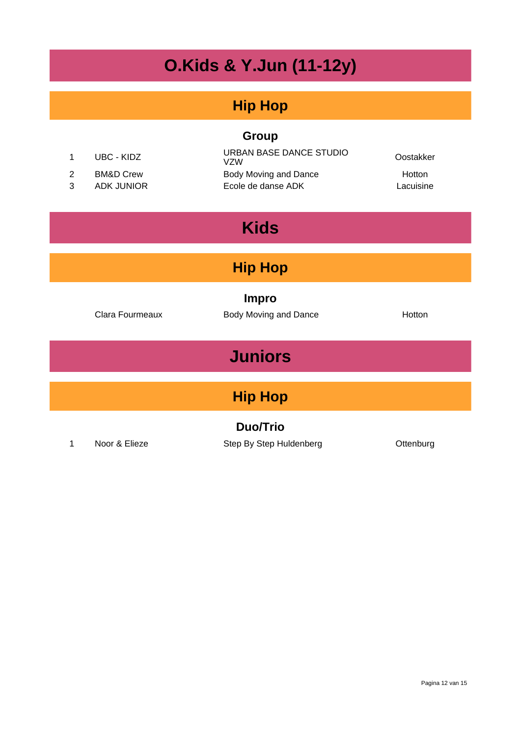## **O.Kids & Y.Jun (11-12y)**

#### **Hip Hop**

#### **Group**

| UBC - KIDZ | URBAN BASE DANCE STUDIO<br>VZW | Oostakker     |
|------------|--------------------------------|---------------|
| BM&D Crew  | Body Moving and Dance          | <b>Hotton</b> |
| ADK JUNIOR | Ecole de danse ADK             | Lacuisine     |

### **Kids**

#### **Hip Hop**

**Impro**

Clara Fourmeaux **Body Moving and Dance Hotton** 

**Juniors**

### **Hip Hop**

**Duo/Trio**

1 Noor & Elieze Step By Step Huldenberg Cttenburg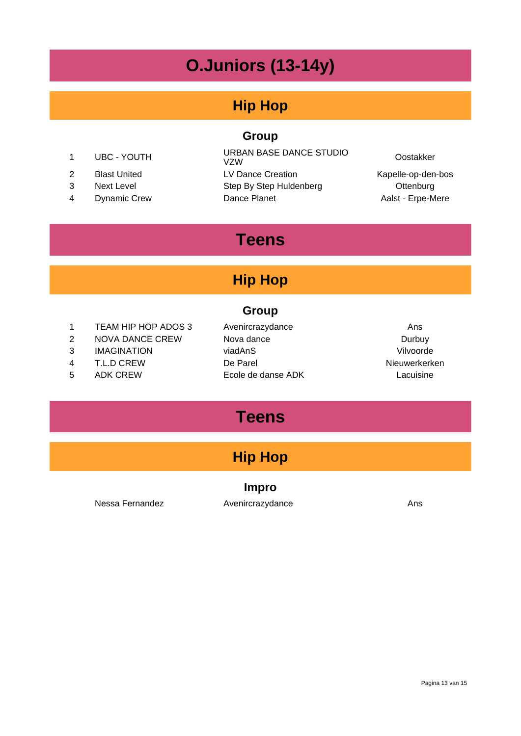### **O.Juniors (13-14y)**

#### **Hip Hop**

#### **Group**

- 
- 
- 
- 

<sup>1</sup> UBC - YOUTH URBAN BASE DANCE STUDIO VZW Oostakker 2 Blast United LV Dance Creation Contract Creation Rapelle-op-den-bos 3 Next Level Step By Step Huldenberg Cttenburg 4 Dynamic Crew Dance Planet Dance Planet Aalst - Erpe-Mere

#### **Teens**

#### **Hip Hop**

#### **Group**

- 1 TEAM HIP HOP ADOS 3 Avenircrazydance Ans
- 2 NOVA DANCE CREW Nova dance **Durbuy**
- 
- 
- 
- 3 IMAGINATION viadAnS Vilvoorde 4 T.L.D CREW De Parel Nieuwerkerken 5 ADK CREW Ecole de danse ADK Lacuisine
- 

### **Teens**

#### **Hip Hop**

#### **Impro**

Nessa Fernandez **Avenircrazydance** Ans